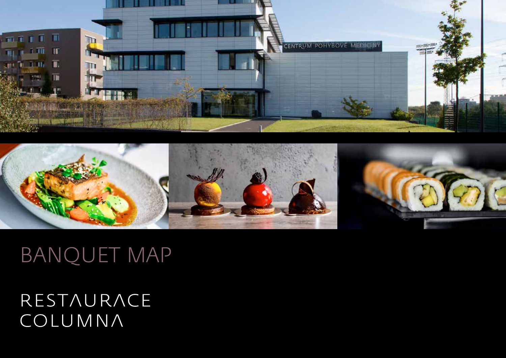



# BANQUET MAP

## RESTAURACE COLUMNA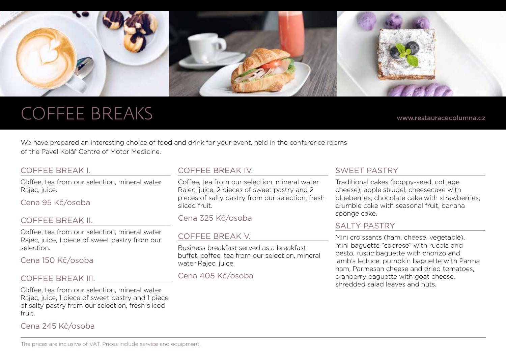

### COFFEE BREAKS

www.restauracecolumna.cz

We have prepared an interesting choice of food and drink for your event, held in the conference rooms of the Pavel Kolář Centre of Motor Medicine.

#### COFFEE BREAK I.

Coffee, tea from our selection, mineral water Rajec, juice.

Cena 95 Kč/osoba

#### COFFEE BREAK II.

Coffee, tea from our selection, mineral water Rajec, juice, 1 piece of sweet pastry from our selection.

#### Cena 150 Kč/osoba

#### COFFEE BREAK III.

Coffee, tea from our selection, mineral water Rajec, juice, 1 piece of sweet pastry and 1 piece of salty pastry from our selection, fresh sliced fruit.

Cena 245 Kč/osoba

#### COFFEE BREAK IV.

Coffee, tea from our selection, mineral water Rajec, juice, 2 pieces of sweet pastry and 2 pieces of salty pastry from our selection, fresh sliced fruit.

Cena 325 Kč/osoba

#### COFFEE BREAK V.

Business breakfast served as a breakfast buffet, coffee, tea from our selection, mineral water Rajec, juice.

Cena 405 Kč/osoba

#### Sweet pastry

Traditional cakes (poppy-seed, cottage cheese), apple strudel, cheesecake with blueberries, chocolate cake with strawberries crumble cake with seasonal fruit, banana sponge cake.

#### SAI TY PASTRY

Mini croissants (ham, cheese, vegetable), mini baguette "caprese" with rucola and pesto, rustic baguette with chorizo and lamb's lettuce, pumpkin baguette with Parma ham, Parmesan cheese and dried tomatoes, cranberry baguette with goat cheese, shredded salad leaves and nuts.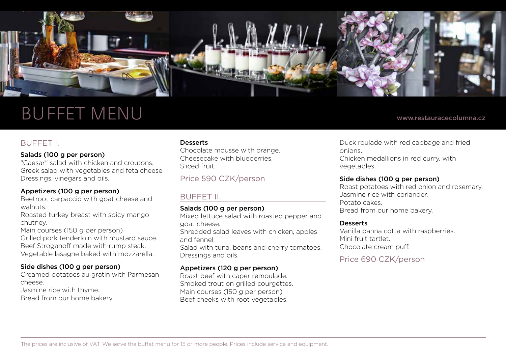

### Buffet menu

#### www.restauracecolumna.cz

#### BUFFET I.

#### Salads (100 g per person)

"Caesar" salad with chicken and croutons. Greek salad with vegetables and feta cheese. Dressings, vinegars and oils.

#### Appetizers (100 g per person)

Beetroot carpaccio with goat cheese and walnuts.

Roasted turkey breast with spicy mango chutney.

Main courses (150 g per person)

Grilled pork tenderloin with mustard sauce. Beef Stroganoff made with rump steak. Vegetable lasagne baked with mozzarella.

#### Side dishes (100 g per person)

Creamed potatoes au gratin with Parmesan cheese.

Jasmine rice with thyme. Bread from our home bakery.

#### **Desserts**

Chocolate mousse with orange. Cheesecake with blueberries. Sliced fruit.

Price 590 CZK/person

### BUFFET II.

#### Salads (100 g per person)

Mixed lettuce salad with roasted pepper and goat cheese. Shredded salad leaves with chicken, apples

and fennel.

Salad with tuna, beans and cherry tomatoes. Dressings and oils.

#### Appetizers (120 g per person)

Roast beef with caper remoulade. Smoked trout on grilled courgettes. Main courses (150 g per person) Beef cheeks with root vegetables.

Duck roulade with red cabbage and fried onions. Chicken medallions in red curry, with vegetables.

#### Side dishes (100 g per person)

Roast potatoes with red onion and rosemary. Jasmine rice with coriander. Potato cakes. Bread from our home bakery.

#### **Desserts**

Vanilla panna cotta with raspberries. Mini fruit tartlet. Chocolate cream puff.

Price 690 CZK/person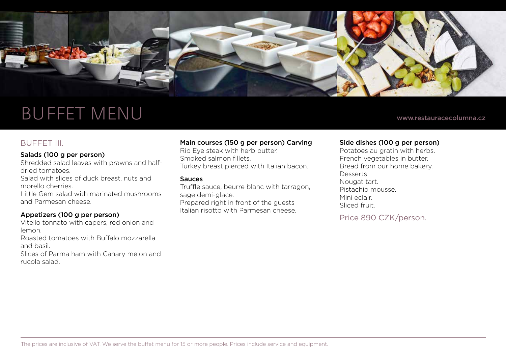

### BUFFET MENU

#### BUFFET III.

#### Salads (100 g per person)

Shredded salad leaves with prawns and halfdried tomatoes.

Salad with slices of duck breast, nuts and morello cherries.

Little Gem salad with marinated mushrooms and Parmesan cheese.

#### Appetizers (100 g per person)

Vitello tonnato with capers, red onion and lemon.

Roasted tomatoes with Buffalo mozzarella and basil.

Slices of Parma ham with Canary melon and rucola salad.

#### Main courses (150 g per person) Carving

Rib Eye steak with herb butter. Smoked salmon fillets. Turkey breast pierced with Italian bacon.

#### Sauces

Truffle sauce, beurre blanc with tarragon, sage demi-glace. Prepared right in front of the guests Italian risotto with Parmesan cheese.

#### Side dishes (100 g per person)

Potatoes au gratin with herbs. French vegetables in butter. Bread from our home bakery. Desserts Nougat tart. Pistachio mousse. Mini eclair. Sliced fruit.

Price 890 CZK/person.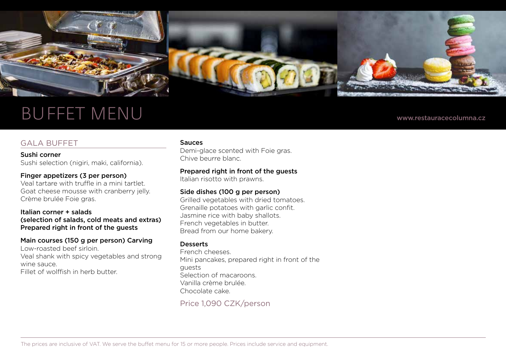

### BUFFET MENU

#### GALA BUFFET

Sushi corner Sushi selection (nigiri, maki, california).

#### Finger appetizers (3 per person)

Veal tartare with truffle in a mini tartlet. Goat cheese mousse with cranberry jelly. Crème brulée Foie gras.

#### Italian corner + salads (selection of salads, cold meats and extras) Prepared right in front of the guests

#### Main courses (150 g per person) Carving

Low-roasted beef sirloin. Veal shank with spicy vegetables and strong wine sauce. Fillet of wolffish in herb butter.

#### Sauces

Demi-glace scented with Foie gras. Chive beurre blanc.

#### Prepared right in front of the guests

Italian risotto with prawns.

#### Side dishes (100 g per person)

Grilled vegetables with dried tomatoes. Grenaille potatoes with garlic confit. Jasmine rice with baby shallots. French vegetables in butter. Bread from our home bakery.

#### **Desserts**

French cheeses. Mini pancakes, prepared right in front of the guests Selection of macaroons. Vanilla crème brulée. Chocolate cake.

Price 1,090 CZK/person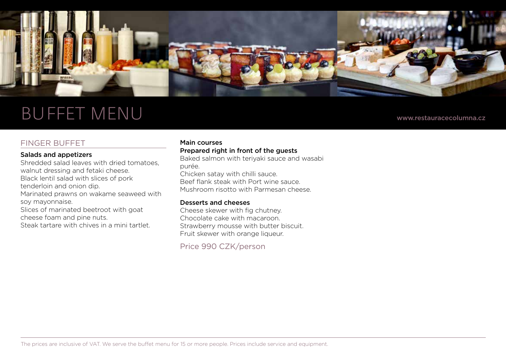

### BUFFET MENU www.restauracecolumna.cz

#### FINGER BUFFET

#### Salads and appetizers

Shredded salad leaves with dried tomatoes, walnut dressing and fetaki cheese. Black lentil salad with slices of pork tenderloin and onion dip. Marinated prawns on wakame seaweed with soy mayonnaise. Slices of marinated beetroot with goat cheese foam and pine nuts. Steak tartare with chives in a mini tartlet.

#### Main courses

#### Prepared right in front of the guests

Baked salmon with teriyaki sauce and wasabi purée. Chicken satay with chilli sauce. Beef flank steak with Port wine sauce. Mushroom risotto with Parmesan cheese.

#### Desserts and cheeses

Cheese skewer with fig chutney. Chocolate cake with macaroon. Strawberry mousse with butter biscuit. Fruit skewer with orange liqueur.

Price 990 CZK/person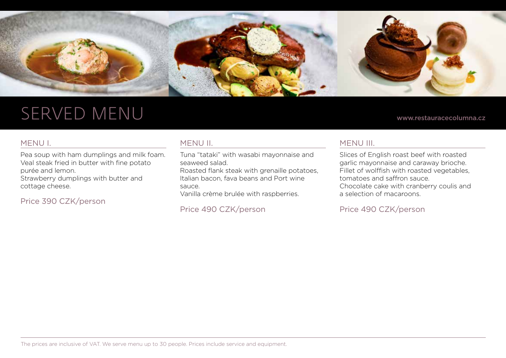

### served menu

#### www.restauracecolumna.cz

#### MENU I.

Pea soup with ham dumplings and milk foam. Veal steak fried in butter with fine potato purée and lemon.

Strawberry dumplings with butter and cottage cheese.

Price 390 CZK/person

#### MENU II.

Tuna "tataki" with wasabi mayonnaise and seaweed salad.

Roasted flank steak with grenaille potatoes, Italian bacon, fava beans and Port wine sauce.

Vanilla crème brulée with raspberries.

Price 490 CZK/person

#### MENU III.

Slices of English roast beef with roasted garlic mayonnaise and caraway brioche. Fillet of wolffish with roasted vegetables, tomatoes and saffron sauce. Chocolate cake with cranberry coulis and a selection of macaroons.

Price 490 CZK/person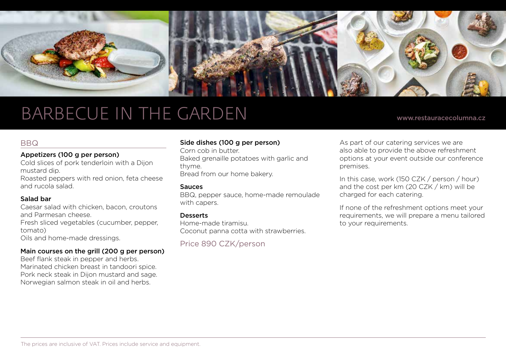

### barbecue in the garden

www.restauracecolumna.cz

#### **BBQ**

#### Appetizers (100 g per person)

Cold slices of pork tenderloin with a Dijon mustard dip.

Roasted peppers with red onion, feta cheese and rucola salad.

#### Salad bar

Caesar salad with chicken, bacon, croutons and Parmesan cheese. Fresh sliced vegetables (cucumber, pepper, tomato) Oils and home-made dressings.

#### Main courses on the grill (200 g per person)

Beef flank steak in pepper and herbs. Marinated chicken breast in tandoori spice. Pork neck steak in Dijon mustard and sage. Norwegian salmon steak in oil and herbs.

#### Side dishes (100 g per person)

Corn cob in butter. Baked grenaille potatoes with garlic and thyme. Bread from our home bakery.

#### Sauces

BBQ, pepper sauce, home-made remoulade with capers.

#### **Desserts**

Home-made tiramisu. Coconut panna cotta with strawberries.

Price 890 CZK/person

As part of our catering services we are also able to provide the above refreshment options at your event outside our conference premises.

In this case, work (150 CZK / person / hour) and the cost per km (20 CZK / km) will be charged for each catering.

If none of the refreshment options meet your requirements, we will prepare a menu tailored to your requirements.